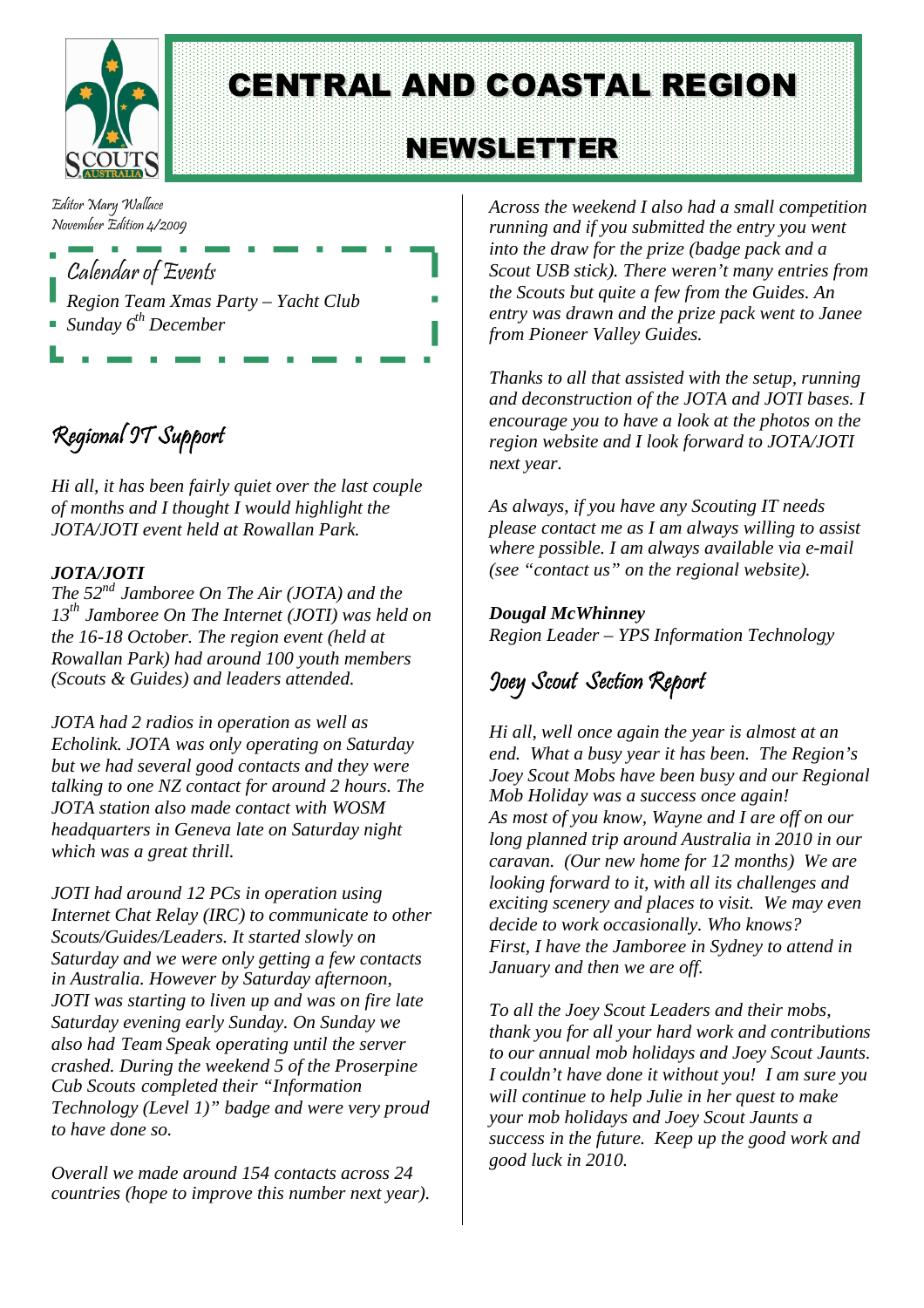

# CENTRAL AND COASTAL REGION

# NEWSLETTER

Editor Mary Wallace November Edition 4/2009

Calendar of Events *Region Team Xmas Party – Yacht Club Sunday 6th December*

## Regional IT Support

*Hi all, it has been fairly quiet over the last couple of months and I thought I would highlight the JOTA/JOTI event held at Rowallan Park.*

#### *JOTA/JOTI*

*The 52nd Jamboree On The Air (JOTA) and the 13th Jamboree On The Internet (JOTI) was held on the 16-18 October. The region event (held at Rowallan Park) had around 100 youth members (Scouts & Guides) and leaders attended.*

*JOTA had 2 radios in operation as well as Echolink. JOTA was only operating on Saturday but we had several good contacts and they were talking to one NZ contact for around 2 hours. The JOTA station also made contact with WOSM headquarters in Geneva late on Saturday night which was a great thrill.*

*JOTI had around 12 PCs in operation using Internet Chat Relay (IRC) to communicate to other Scouts/Guides/Leaders. It started slowly on Saturday and we were only getting a few contacts in Australia. However by Saturday afternoon, JOTI was starting to liven up and was on fire late Saturday evening early Sunday. On Sunday we also had Team Speak operating until the server crashed. During the weekend 5 of the Proserpine Cub Scouts completed their "Information Technology (Level 1)" badge and were very proud to have done so.*

*Overall we made around 154 contacts across 24 countries (hope to improve this number next year).*

*Across the weekend I also had a small competition running and if you submitted the entry you went into the draw for the prize (badge pack and a Scout USB stick). There weren't many entries from the Scouts but quite a few from the Guides. An entry was drawn and the prize pack went to Janee from Pioneer Valley Guides.*

*Thanks to all that assisted with the setup, running and deconstruction of the JOTA and JOTI bases. I encourage you to have a look at the photos on the region website and I look forward to JOTA/JOTI next year.*

*As always, if you have any Scouting IT needs please contact me as I am always willing to assist where possible. I am always available via e-mail (see "contact us" on the regional website).*

#### *Dougal McWhinney Region Leader – YPS Information Technology*

### Joey Scout Section Report

*Hi all, well once again the year is almost at an end. What a busy year it has been. The Region's Joey Scout Mobs have been busy and our Regional Mob Holiday was a success once again! As most of you know, Wayne and I are off on our long planned trip around Australia in 2010 in our caravan. (Our new home for 12 months) We are looking forward to it, with all its challenges and exciting scenery and places to visit. We may even decide to work occasionally. Who knows? First, I have the Jamboree in Sydney to attend in January and then we are off.*

*To all the Joey Scout Leaders and their mobs, thank you for all your hard work and contributions to our annual mob holidays and Joey Scout Jaunts. I couldn't have done it without you! I am sure you will continue to help Julie in her quest to make your mob holidays and Joey Scout Jaunts a success in the future. Keep up the good work and good luck in 2010.*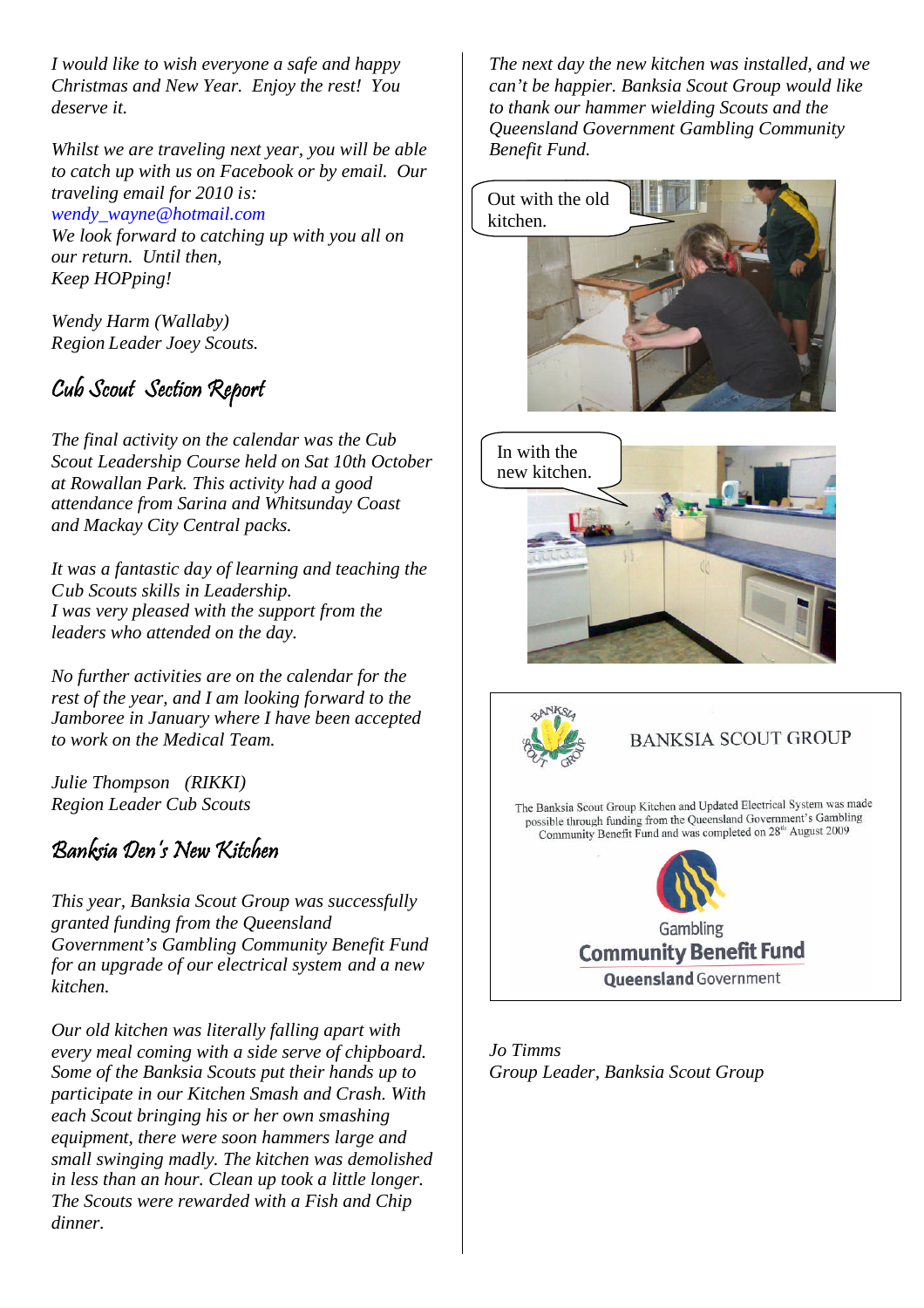*I would like to wish everyone a safe and happy Christmas and New Year. Enjoy the rest! You deserve it.*

*Whilst we are traveling next year, you will be able to catch up with us on Facebook or by email. Our traveling email for 2010 is: [wendy\\_wayne@hotmail.com](mailto:wendy_wayne@hotmail.com) [We look forward to catching up](mailto:wendy_wayne@hotmail.com) with you all on*

*our return. Until then, Keep HOPping!*

*Wendy Harm (Wallaby) Region Leader Joey Scouts.*

### Cub Scout Section Report

*The final activity on the calendar was the Cub Scout Leadership Course held on Sat 10th October at Rowallan Park. This activity had a good attendance from Sarina and Whitsunday Coast and Mackay City Central packs.*

*It was a fantastic day of learning and teaching the Cub Scouts skills in Leadership. I was very pleased with the support from the leaders who attended on the day.*

*No further activities are on the calendar for the rest of the year, and I am looking forward to the Jamboree in January where I have been accepted to work on the Medical Team.*

*Julie Thompson (RIKKI) Region Leader Cub Scouts*

### Banksia Den's New Kitchen

*This year, Banksia Scout Group was successfully granted funding from the Queensland Government's Gambling Community Benefit Fund for an upgrade of our electrical system and a new kitchen.*

*Our old kitchen was literally falling apart with every meal coming with a side serve of chipboard. Some of the Banksia Scouts put their hands up to participate in our Kitchen Smash and Crash. With each Scout bringing his or her own smashing equipment, there were soon hammers large and small swinging madly. The kitchen was demolished in less than an hour. Clean up took a little longer. The Scouts were rewarded with a Fish and Chip dinner.*

*The next day the new kitchen was installed, and we can't be happier. Banksia Scout Group would like to thank our hammer wielding Scouts and the Queensland Government Gambling Community Benefit Fund.*







#### **BANKSIA SCOUT GROUP**

The Banksia Scout Group Kitchen and Updated Electrical System was made possible through funding from the Queensland Government's Gambling Community Benefit Fund and was completed on 28<sup>th</sup> August 2009



*Jo Timms Group Leader, Banksia Scout Group*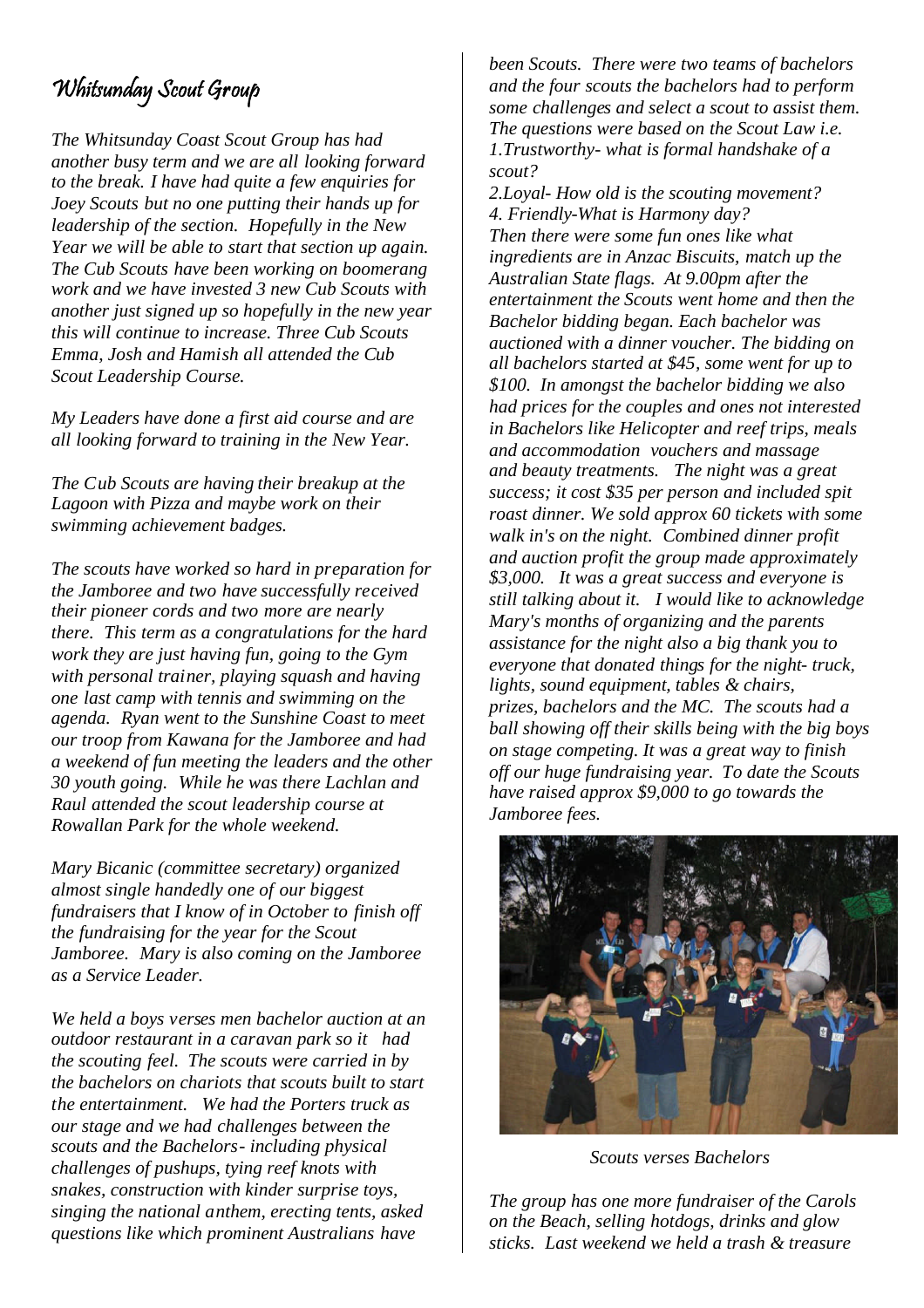### Whitsunday Scout Group

*The Whitsunday Coast Scout Group has had another busy term and we are all looking forward to the break. I have had quite a few enquiries for Joey Scouts but no one putting their hands up for leadership of the section. Hopefully in the New Year we will be able to start that section up again. The Cub Scouts have been working on boomerang work and we have invested 3 new Cub Scouts with another just signed up so hopefully in the new year this will continue to increase. Three Cub Scouts Emma, Josh and Hamish all attended the Cub Scout Leadership Course.*

*My Leaders have done a first aid course and are all looking forward to training in the New Year.*

*The Cub Scouts are having their breakup at the Lagoon with Pizza and maybe work on their swimming achievement badges.*

*The scouts have worked so hard in preparation for the Jamboree and two have successfully received their pioneer cords and two more are nearly there. This term as a congratulations for the hard work they are just having fun, going to the Gym with personal trainer, playing squash and having one last camp with tennis and swimming on the agenda. Ryan went to the Sunshine Coast to meet our troop from Kawana for the Jamboree and had a weekend of fun meeting the leaders and the other 30 youth going. While he was there Lachlan and Raul attended the scout leadership course at Rowallan Park for the whole weekend.*

*Mary Bicanic (committee secretary) organized almost single handedly one of our biggest fundraisers that I know of in October to finish off the fundraising for the year for the Scout Jamboree. Mary is also coming on the Jamboree as a Service Leader.*

*We held a boys verses men bachelor auction at an outdoor restaurant in a caravan park so it had the scouting feel. The scouts were carried in by the bachelors on chariots that scouts built to start the entertainment. We had the Porters truck as our stage and we had challenges between the scouts and the Bachelors- including physical challenges of pushups, tying reef knots with snakes, construction with kinder surprise toys, singing the national anthem, erecting tents, asked questions like which prominent Australians have*

*been Scouts. There were two teams of bachelors and the four scouts the bachelors had to perform some challenges and select a scout to assist them. The questions were based on the Scout Law i.e. 1.Trustworthy- what is formal handshake of a scout?*

*2.Loyal- How old is the scouting movement? 4. Friendly-What is Harmony day? Then there were some fun ones like what ingredients are in Anzac Biscuits, match up the Australian State flags. At 9.00pm after the entertainment the Scouts went home and then the Bachelor bidding began. Each bachelor was auctioned with a dinner voucher. The bidding on all bachelors started at \$45, some went for up to \$100. In amongst the bachelor bidding we also had prices for the couples and ones not interested in Bachelors like Helicopter and reef trips, meals and accommodation vouchers and massage and beauty treatments. The night was a great success; it cost \$35 per person and included spit roast dinner. We sold approx 60 tickets with some walk in's on the night. Combined dinner profit and auction profit the group made approximately \$3,000. It was a great success and everyone is still talking about it. I would like to acknowledge Mary's months of organizing and the parents assistance for the night also a big thank you to everyone that donated things for the night- truck, lights, sound equipment, tables & chairs, prizes, bachelors and the MC. The scouts had a ball showing off their skills being with the big boys on stage competing. It was a great way to finish off our huge fundraising year. To date the Scouts have raised approx \$9,000 to go towards the Jamboree fees.*



*Scouts verses Bachelors*

*The group has one more fundraiser of the Carols on the Beach, selling hotdogs, drinks and glow sticks. Last weekend we held a trash & treasure*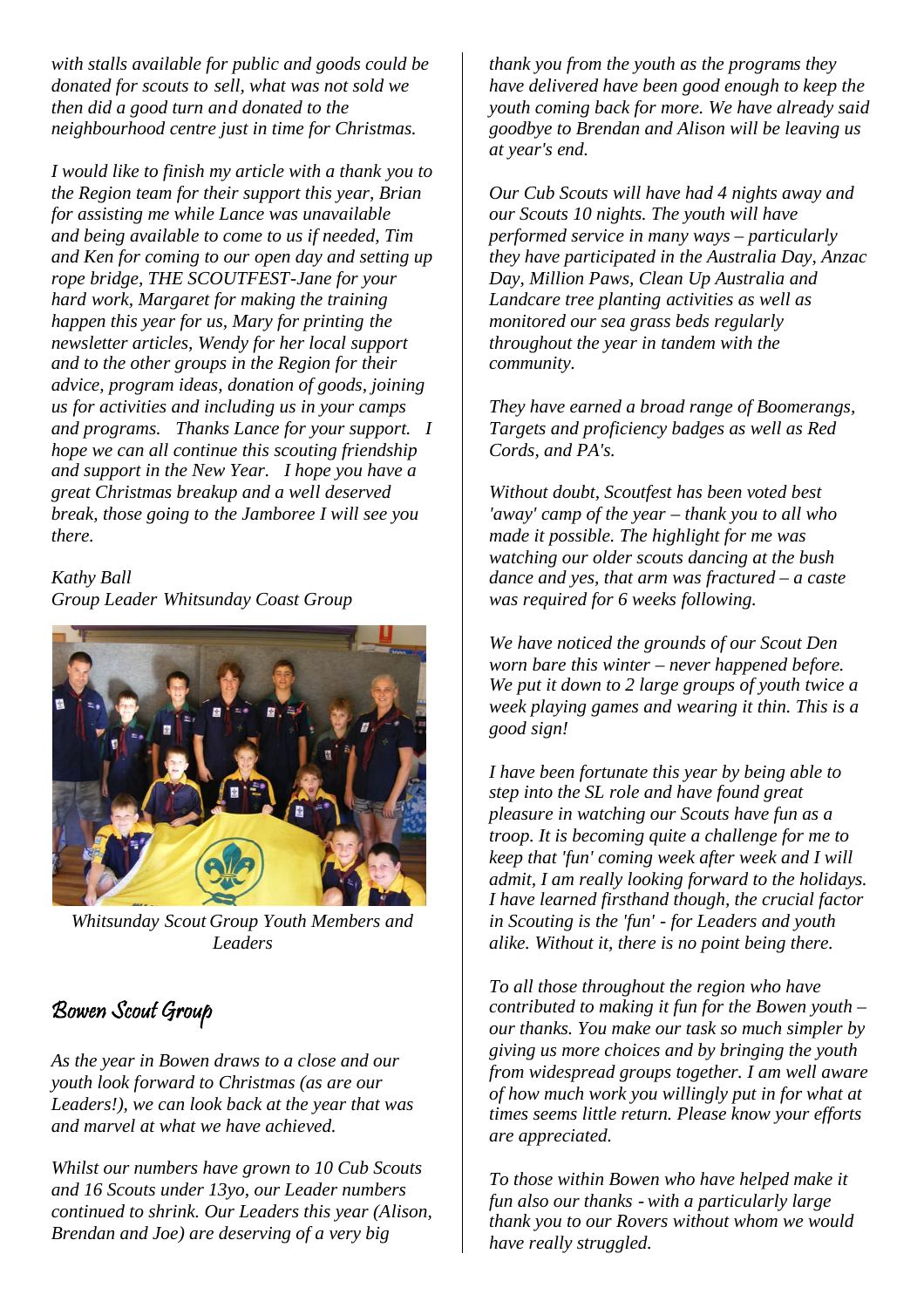*with stalls available for public and goods could be donated for scouts to sell, what was not sold we then did a good turn and donated to the neighbourhood centre just in time for Christmas.*

*I would like to finish my article with a thank you to the Region team for their support this year, Brian for assisting me while Lance was unavailable and being available to come to us if needed, Tim and Ken for coming to our open day and setting up rope bridge, THE SCOUTFEST-Jane for your hard work, Margaret for making the training happen this year for us, Mary for printing the newsletter articles, Wendy for her local support and to the other groups in the Region for their advice, program ideas, donation of goods, joining us for activities and including us in your camps and programs. Thanks Lance for your support. I hope we can all continue this scouting friendship and support in the New Year. I hope you have a great Christmas breakup and a well deserved break, those going to the Jamboree I will see you there.*

#### *Kathy Ball Group Leader Whitsunday Coast Group*



*Whitsunday Scout Group Youth Members and Leaders*

### Bowen Scout Group

*As the year in Bowen draws to a close and our youth look forward to Christmas (as are our Leaders!), we can look back at the year that was and marvel at what we have achieved.*

*Whilst our numbers have grown to 10 Cub Scouts and 16 Scouts under 13yo, our Leader numbers continued to shrink. Our Leaders this year (Alison, Brendan and Joe) are deserving of a very big*

*thank you from the youth as the programs they have delivered have been good enough to keep the youth coming back for more. We have already said goodbye to Brendan and Alison will be leaving us at year's end.*

*Our Cub Scouts will have had 4 nights away and our Scouts 10 nights. The youth will have performed service in many ways – particularly they have participated in the Australia Day, Anzac Day, Million Paws, Clean Up Australia and Landcare tree planting activities as well as monitored our sea grass beds regularly throughout the year in tandem with the community.*

*They have earned a broad range of Boomerangs, Targets and proficiency badges as well as Red Cords, and PA's.*

*Without doubt, Scoutfest has been voted best 'away' camp of the year – thank you to all who made it possible. The highlight for me was watching our older scouts dancing at the bush dance and yes, that arm was fractured – a caste was required for 6 weeks following.*

*We have noticed the grounds of our Scout Den worn bare this winter – never happened before. We put it down to 2 large groups of youth twice a week playing games and wearing it thin. This is a good sign!*

*I have been fortunate this year by being able to step into the SL role and have found great pleasure in watching our Scouts have fun as a troop. It is becoming quite a challenge for me to keep that 'fun' coming week after week and I will admit, I am really looking forward to the holidays. I have learned firsthand though, the crucial factor in Scouting is the 'fun' - for Leaders and youth alike. Without it, there is no point being there.*

*To all those throughout the region who have contributed to making it fun for the Bowen youth – our thanks. You make our task so much simpler by giving us more choices and by bringing the youth from widespread groups together. I am well aware of how much work you willingly put in for what at times seems little return. Please know your efforts are appreciated.*

*To those within Bowen who have helped make it fun also our thanks - with a particularly large thank you to our Rovers without whom we would have really struggled.*